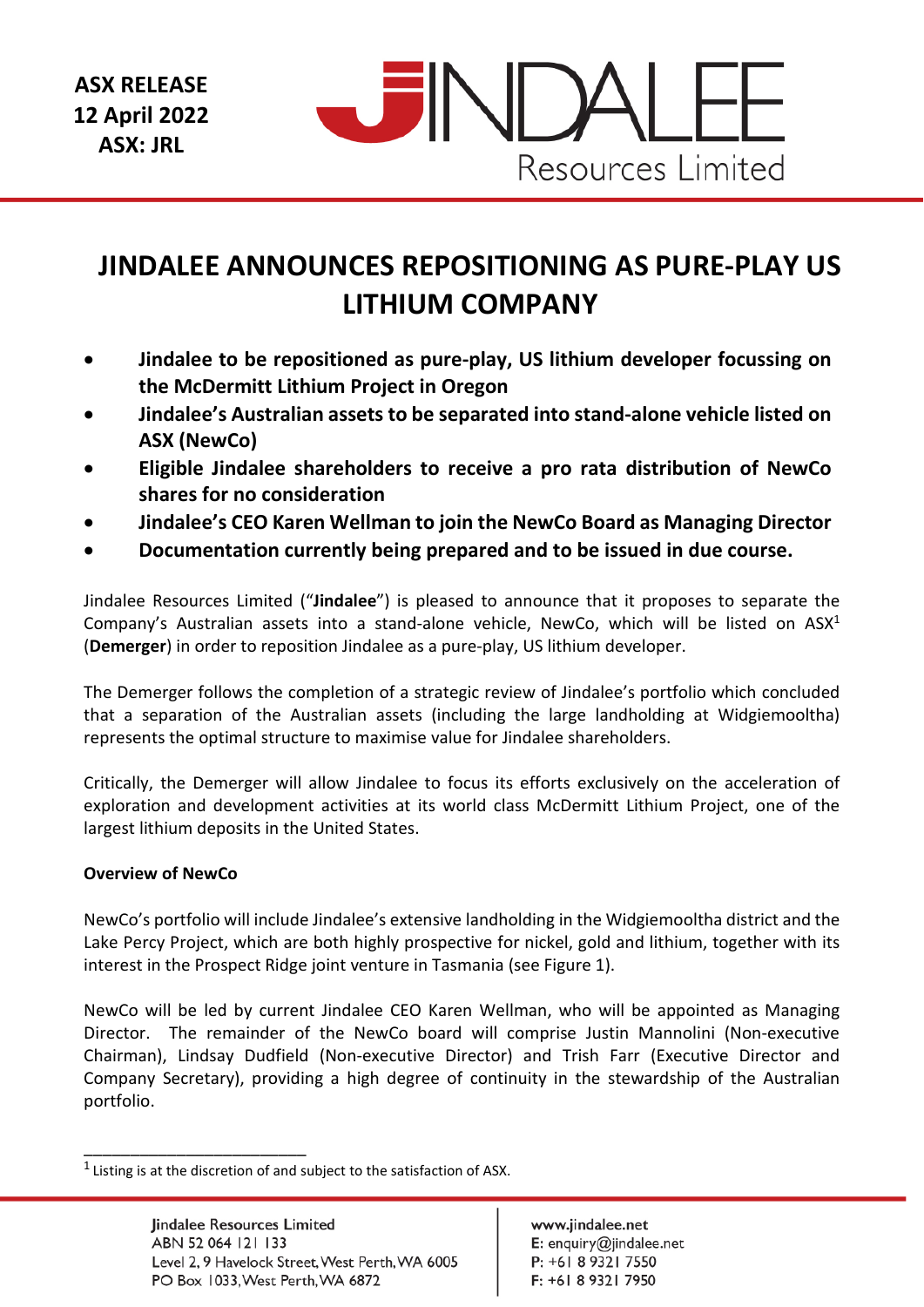

# **JINDALEE ANNOUNCES REPOSITIONING AS PURE-PLAY US LITHIUM COMPANY**

- **Jindalee to be repositioned as pure-play, US lithium developer focussing on the McDermitt Lithium Project in Oregon**
- **Jindalee's Australian assets to be separated into stand-alone vehicle listed on ASX (NewCo)**
- **Eligible Jindalee shareholders to receive a pro rata distribution of NewCo shares for no consideration**
- **Jindalee's CEO Karen Wellman to join the NewCo Board as Managing Director**
- **Documentation currently being prepared and to be issued in due course.**

Jindalee Resources Limited ("**Jindalee**") is pleased to announce that it proposes to separate the Company's Australian assets into a stand-alone vehicle, NewCo, which will be listed on ASX<sup>1</sup> (**Demerger**) in order to reposition Jindalee as a pure-play, US lithium developer.

The Demerger follows the completion of a strategic review of Jindalee's portfolio which concluded that a separation of the Australian assets (including the large landholding at Widgiemooltha) represents the optimal structure to maximise value for Jindalee shareholders.

Critically, the Demerger will allow Jindalee to focus its efforts exclusively on the acceleration of exploration and development activities at its world class McDermitt Lithium Project, one of the largest lithium deposits in the United States.

## **Overview of NewCo**

\_\_\_\_\_\_\_\_\_\_\_\_\_\_\_\_\_\_\_\_\_\_\_\_

NewCo's portfolio will include Jindalee's extensive landholding in the Widgiemooltha district and the Lake Percy Project, which are both highly prospective for nickel, gold and lithium, together with its interest in the Prospect Ridge joint venture in Tasmania (see Figure 1).

NewCo will be led by current Jindalee CEO Karen Wellman, who will be appointed as Managing Director. The remainder of the NewCo board will comprise Justin Mannolini (Non-executive Chairman), Lindsay Dudfield (Non-executive Director) and Trish Farr (Executive Director and Company Secretary), providing a high degree of continuity in the stewardship of the Australian portfolio.

 $1$  Listing is at the discretion of and subject to the satisfaction of ASX.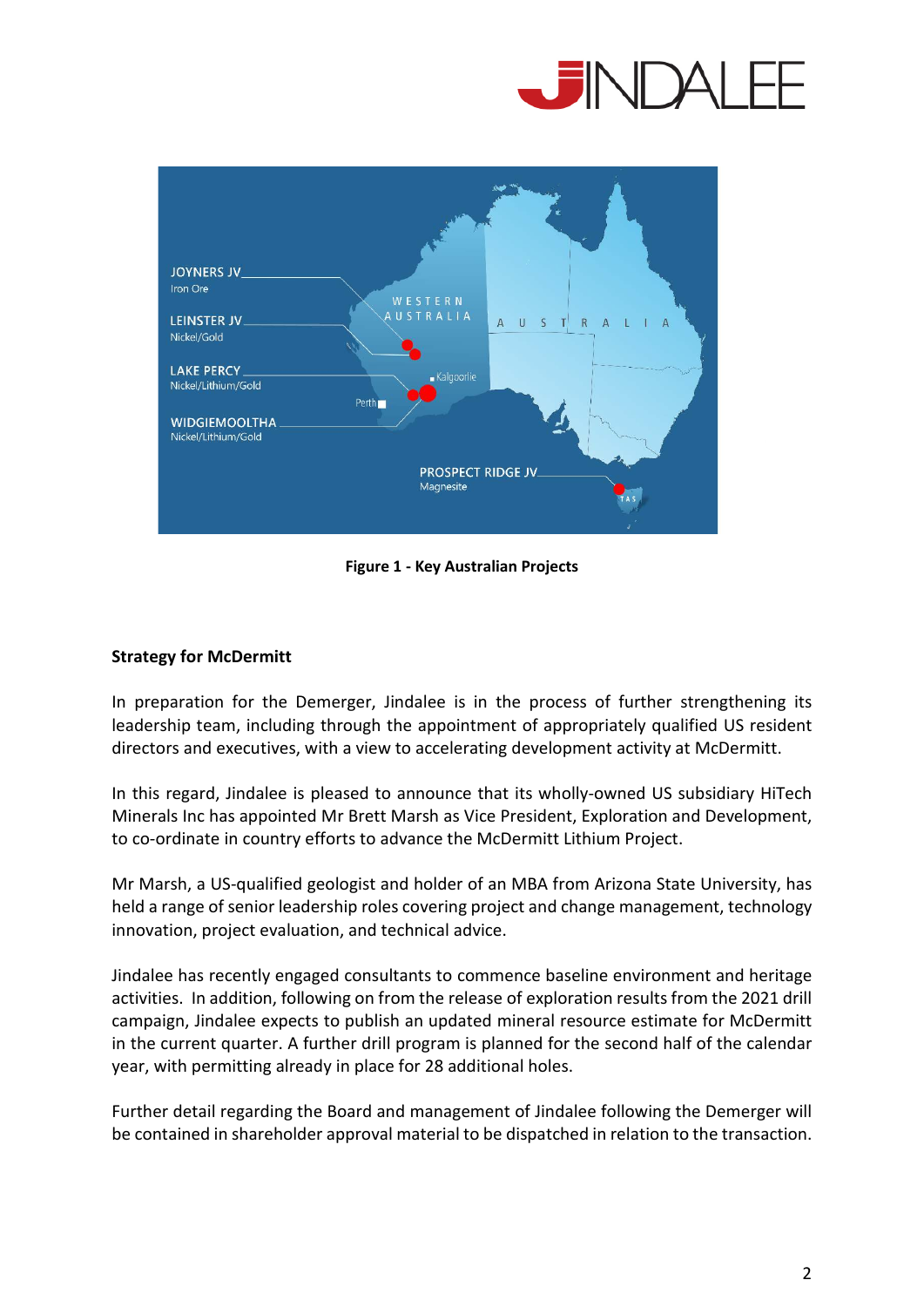



**Figure 1 - Key Australian Projects** 

## **Strategy for McDermitt**

In preparation for the Demerger, Jindalee is in the process of further strengthening its leadership team, including through the appointment of appropriately qualified US resident directors and executives, with a view to accelerating development activity at McDermitt.

In this regard, Jindalee is pleased to announce that its wholly-owned US subsidiary HiTech Minerals Inc has appointed Mr Brett Marsh as Vice President, Exploration and Development, to co-ordinate in country efforts to advance the McDermitt Lithium Project.

Mr Marsh, a US-qualified geologist and holder of an MBA from Arizona State University, has held a range of senior leadership roles covering project and change management, technology innovation, project evaluation, and technical advice.

Jindalee has recently engaged consultants to commence baseline environment and heritage activities. In addition, following on from the release of exploration results from the 2021 drill campaign, Jindalee expects to publish an updated mineral resource estimate for McDermitt in the current quarter. A further drill program is planned for the second half of the calendar year, with permitting already in place for 28 additional holes.

Further detail regarding the Board and management of Jindalee following the Demerger will be contained in shareholder approval material to be dispatched in relation to the transaction.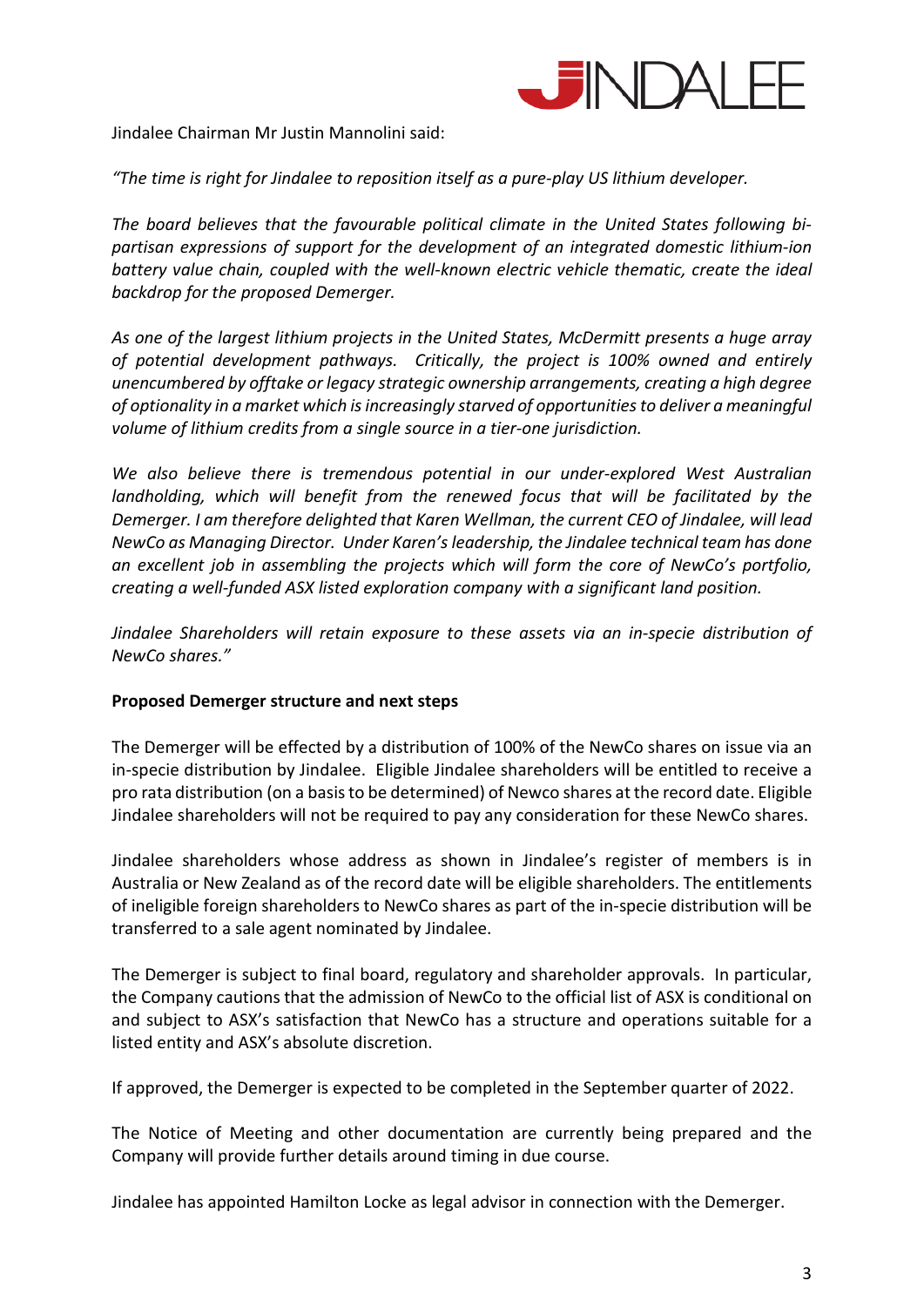

Jindalee Chairman Mr Justin Mannolini said:

*"The time is right for Jindalee to reposition itself as a pure-play US lithium developer.* 

*The board believes that the favourable political climate in the United States following bipartisan expressions of support for the development of an integrated domestic lithium-ion battery value chain, coupled with the well-known electric vehicle thematic, create the ideal backdrop for the proposed Demerger.* 

*As one of the largest lithium projects in the United States, McDermitt presents a huge array of potential development pathways. Critically, the project is 100% owned and entirely unencumbered by offtake or legacy strategic ownership arrangements, creating a high degree of optionality in a market which is increasingly starved of opportunities to deliver a meaningful volume of lithium credits from a single source in a tier-one jurisdiction.* 

*We also believe there is tremendous potential in our under-explored West Australian*  landholding, which will benefit from the renewed focus that will be facilitated by the *Demerger. I am therefore delighted that Karen Wellman, the current CEO of Jindalee, will lead NewCo as Managing Director. Under Karen's leadership, the Jindalee technical team has done an excellent job in assembling the projects which will form the core of NewCo's portfolio, creating a well-funded ASX listed exploration company with a significant land position.* 

*Jindalee Shareholders will retain exposure to these assets via an in-specie distribution of NewCo shares."* 

## **Proposed Demerger structure and next steps**

The Demerger will be effected by a distribution of 100% of the NewCo shares on issue via an in-specie distribution by Jindalee. Eligible Jindalee shareholders will be entitled to receive a pro rata distribution (on a basis to be determined) of Newco shares at the record date. Eligible Jindalee shareholders will not be required to pay any consideration for these NewCo shares.

Jindalee shareholders whose address as shown in Jindalee's register of members is in Australia or New Zealand as of the record date will be eligible shareholders. The entitlements of ineligible foreign shareholders to NewCo shares as part of the in-specie distribution will be transferred to a sale agent nominated by Jindalee.

The Demerger is subject to final board, regulatory and shareholder approvals. In particular, the Company cautions that the admission of NewCo to the official list of ASX is conditional on and subject to ASX's satisfaction that NewCo has a structure and operations suitable for a listed entity and ASX's absolute discretion.

If approved, the Demerger is expected to be completed in the September quarter of 2022.

The Notice of Meeting and other documentation are currently being prepared and the Company will provide further details around timing in due course.

Jindalee has appointed Hamilton Locke as legal advisor in connection with the Demerger.